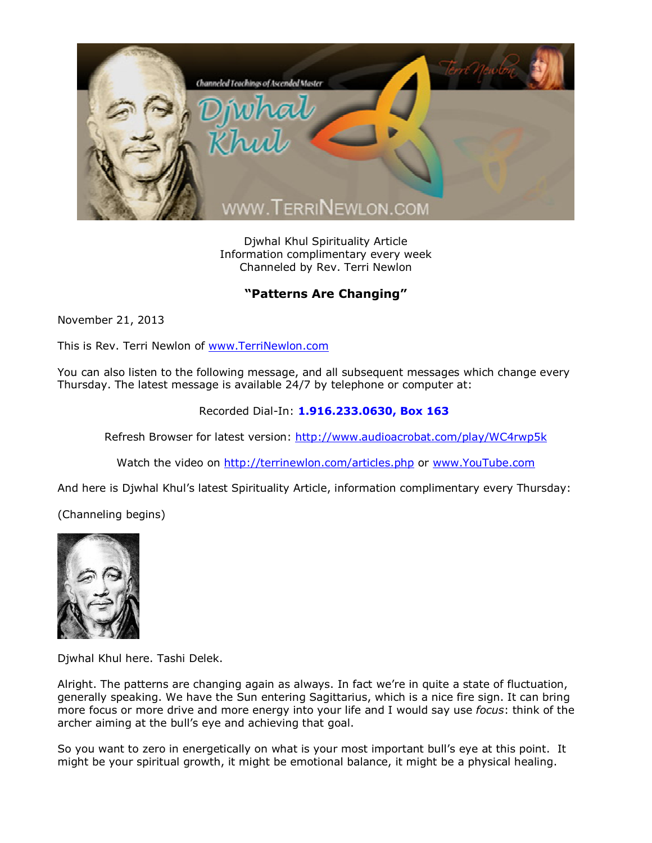

Djwhal Khul Spirituality Article Information complimentary every week Channeled by Rev. Terri Newlon

## **"Patterns Are Changing"**

November 21, 2013

This is Rev. Terri Newlon of [www.TerriNewlon.com](http://www.terrinewlon.com/)

You can also listen to the following message, and all subsequent messages which change every Thursday. The latest message is available 24/7 by telephone or computer at:

Recorded Dial-In: **1.916.233.0630, Box 163**

Refresh Browser for latest version: <http://www.audioacrobat.com/play/WC4rwp5k>

Watch the video on <http://terrinewlon.com/articles.php> or [www.YouTube.com](http://www.youtube.com/)

And here is Djwhal Khul's latest Spirituality Article, information complimentary every Thursday:

(Channeling begins)



Djwhal Khul here. Tashi Delek.

Alright. The patterns are changing again as always. In fact we're in quite a state of fluctuation, generally speaking. We have the Sun entering Sagittarius, which is a nice fire sign. It can bring more focus or more drive and more energy into your life and I would say use *focus*: think of the archer aiming at the bull's eye and achieving that goal.

So you want to zero in energetically on what is your most important bull's eye at this point. It might be your spiritual growth, it might be emotional balance, it might be a physical healing.